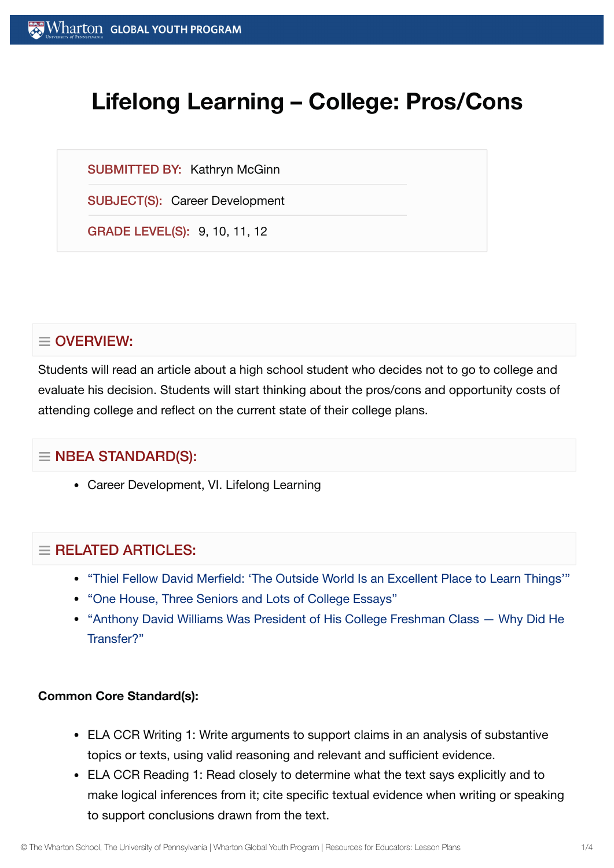# **Lifelong Learning – College: Pros/Cons**

SUBMITTED BY: Kathryn McGinn

SUBJECT(S): Career Development

GRADE LEVEL(S): 9, 10, 11, 12

# $\equiv$  OVERVIEW:

Students will read an article about a high school student who decides not to go to college and evaluate his decision. Students will start thinking about the pros/cons and opportunity costs of attending college and reflect on the current state of their college plans.

## $\equiv$  NBEA STANDARD(S):

Career Development, VI. Lifelong Learning

## $\equiv$  RELATED ARTICLES:

- "Thiel Fellow David Merfield: 'The Outside World Is an [Excellent](https://globalyouth.wharton.upenn.edu/articles/thiel-fellow-david-merfield-%e2%80%98the-outside-world-is-an-excellent-place-to-learn-things%e2%80%99/) Place to Learn Things'"
- "One House, Three [Seniors and](https://globalyouth.wharton.upenn.edu/articles/one-house-three-seniors-lots-college-essays/) Lots of College Essays"
- "Anthony David [Williams Was President](https://globalyouth.wharton.upenn.edu/articles/first-generation-college-student-discusses-chose-transfer-new-school/) of His College Freshman Class Why Did He Transfer?"

#### **Common Core Standard(s):**

- ELA CCR Writing 1: Write arguments to support claims in an analysis of substantive topics or texts, using valid reasoning and relevant and sufficient evidence.
- ELA CCR Reading 1: Read closely to determine what the text says explicitly and to make logical inferences from it; cite specific textual evidence when writing or speaking to support conclusions drawn from the text.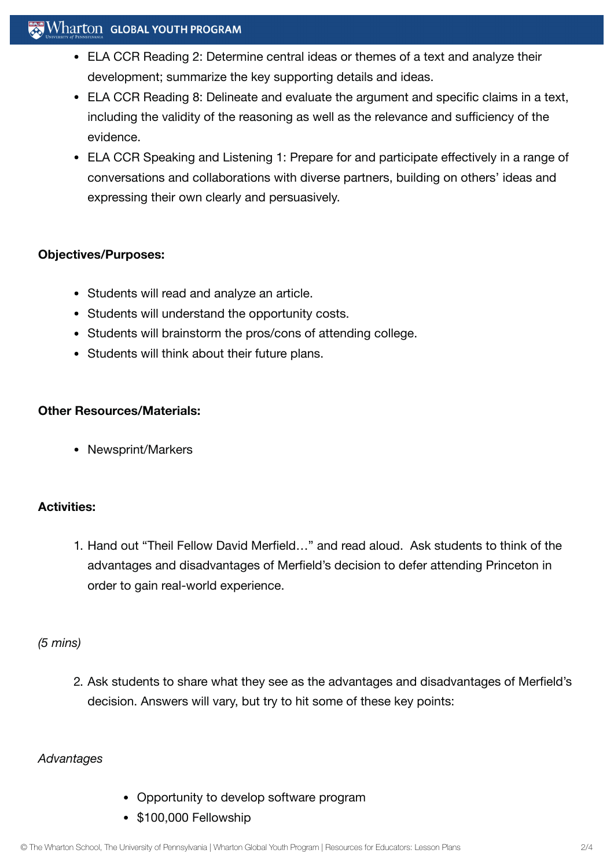## $\mathbb{R}$  Wharton Global Youth Program

- ELA CCR Reading 2: Determine central ideas or themes of a text and analyze their development; summarize the key supporting details and ideas.
- ELA CCR Reading 8: Delineate and evaluate the argument and specific claims in a text, including the validity of the reasoning as well as the relevance and sufficiency of the evidence.
- ELA CCR Speaking and Listening 1: Prepare for and participate effectively in a range of conversations and collaborations with diverse partners, building on others' ideas and expressing their own clearly and persuasively.

#### **Objectives/Purposes:**

- Students will read and analyze an article.
- Students will understand the opportunity costs.
- Students will brainstorm the pros/cons of attending college.
- Students will think about their future plans.

#### **Other Resources/Materials:**

• Newsprint/Markers

#### **Activities:**

1. Hand out "Theil Fellow David Merfield…" and read aloud. Ask students to think of the advantages and disadvantages of Merfield's decision to defer attending Princeton in order to gain real-world experience.

#### *(5 mins)*

2. Ask students to share what they see as the advantages and disadvantages of Merfield's decision. Answers will vary, but try to hit some of these key points:

#### *Advantages*

- Opportunity to develop software program
- \$100,000 Fellowship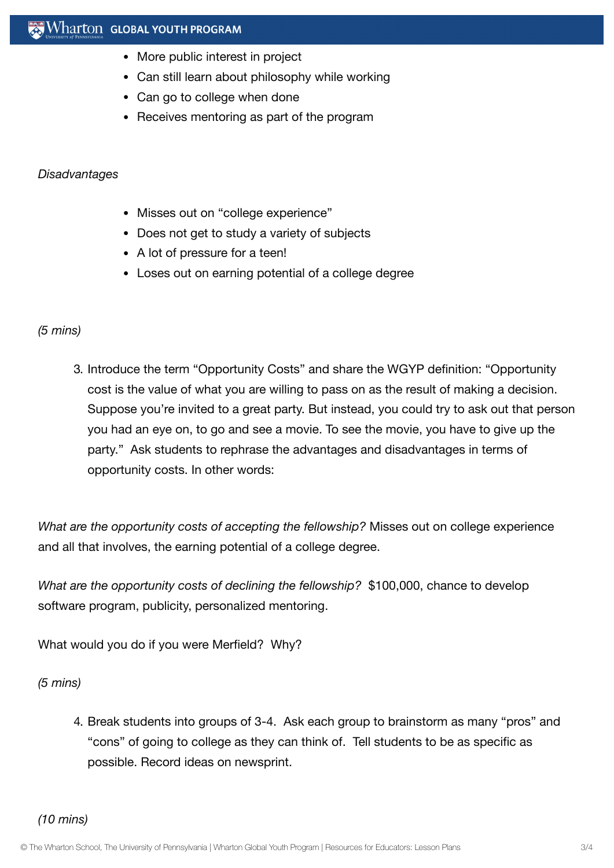- More public interest in project
- Can still learn about philosophy while working
- Can go to college when done
- Receives mentoring as part of the program

#### *Disadvantages*

- Misses out on "college experience"
- Does not get to study a variety of subjects
- A lot of pressure for a teen!
- Loses out on earning potential of a college degree

#### *(5 mins)*

3. Introduce the term "Opportunity Costs" and share the WGYP definition: "Opportunity cost is the value of what you are willing to pass on as the result of making a decision. Suppose you're invited to a great party. But instead, you could try to ask out that person you had an eye on, to go and see a movie. To see the movie, you have to give up the party." Ask students to rephrase the advantages and disadvantages in terms of opportunity costs. In other words:

*What are the opportunity costs of accepting the fellowship?* Misses out on college experience and all that involves, the earning potential of a college degree.

*What are the opportunity costs of declining the fellowship?* \$100,000, chance to develop software program, publicity, personalized mentoring.

What would you do if you were Merfield? Why?

*(5 mins)*

4. Break students into groups of 3-4. Ask each group to brainstorm as many "pros" and "cons" of going to college as they can think of. Tell students to be as specific as possible. Record ideas on newsprint.

*(10 mins)*